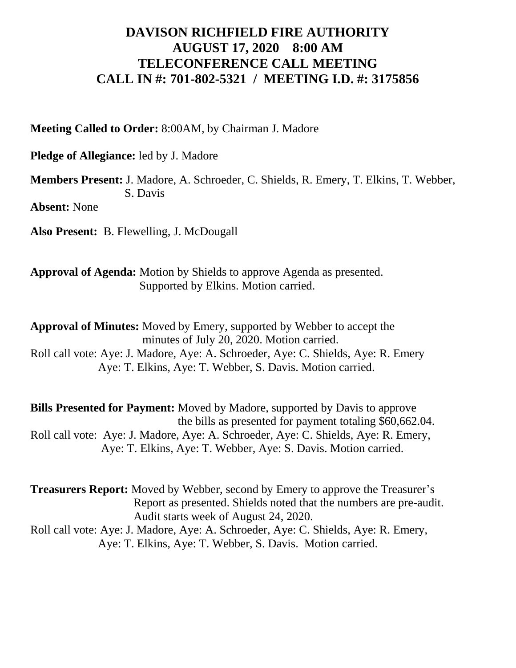## **DAVISON RICHFIELD FIRE AUTHORITY AUGUST 17, 2020 8:00 AM TELECONFERENCE CALL MEETING CALL IN #: 701-802-5321 / MEETING I.D. #: 3175856**

**Meeting Called to Order:** 8:00AM, by Chairman J. Madore

**Pledge of Allegiance:** led by J. Madore

**Members Present:** J. Madore, A. Schroeder, C. Shields, R. Emery, T. Elkins, T. Webber, S. Davis

**Absent:** None

**Also Present:** B. Flewelling, J. McDougall

**Approval of Agenda:** Motion by Shields to approve Agenda as presented. Supported by Elkins. Motion carried.

**Approval of Minutes:** Moved by Emery, supported by Webber to accept the minutes of July 20, 2020. Motion carried. Roll call vote: Aye: J. Madore, Aye: A. Schroeder, Aye: C. Shields, Aye: R. Emery Aye: T. Elkins, Aye: T. Webber, S. Davis. Motion carried.

**Bills Presented for Payment:** Moved by Madore, supported by Davis to approve the bills as presented for payment totaling \$60,662.04. Roll call vote: Aye: J. Madore, Aye: A. Schroeder, Aye: C. Shields, Aye: R. Emery, Aye: T. Elkins, Aye: T. Webber, Aye: S. Davis. Motion carried.

**Treasurers Report:** Moved by Webber, second by Emery to approve the Treasurer's Report as presented. Shields noted that the numbers are pre-audit. Audit starts week of August 24, 2020. Roll call vote: Aye: J. Madore, Aye: A. Schroeder, Aye: C. Shields, Aye: R. Emery,

Aye: T. Elkins, Aye: T. Webber, S. Davis. Motion carried.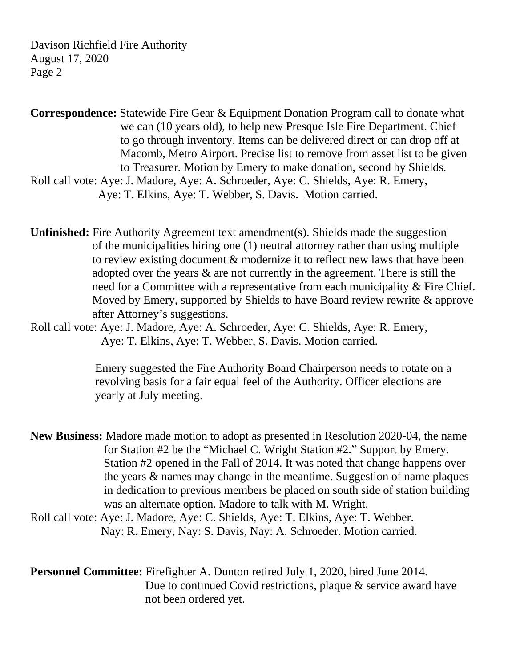Davison Richfield Fire Authority August 17, 2020 Page 2

**Correspondence:** Statewide Fire Gear & Equipment Donation Program call to donate what we can (10 years old), to help new Presque Isle Fire Department. Chief to go through inventory. Items can be delivered direct or can drop off at Macomb, Metro Airport. Precise list to remove from asset list to be given to Treasurer. Motion by Emery to make donation, second by Shields. Roll call vote: Aye: J. Madore, Aye: A. Schroeder, Aye: C. Shields, Aye: R. Emery, Aye: T. Elkins, Aye: T. Webber, S. Davis. Motion carried.

**Unfinished:** Fire Authority Agreement text amendment(s). Shields made the suggestion of the municipalities hiring one (1) neutral attorney rather than using multiple to review existing document & modernize it to reflect new laws that have been adopted over the years & are not currently in the agreement. There is still the need for a Committee with a representative from each municipality & Fire Chief. Moved by Emery, supported by Shields to have Board review rewrite & approve after Attorney's suggestions.

Roll call vote: Aye: J. Madore, Aye: A. Schroeder, Aye: C. Shields, Aye: R. Emery, Aye: T. Elkins, Aye: T. Webber, S. Davis. Motion carried.

> Emery suggested the Fire Authority Board Chairperson needs to rotate on a revolving basis for a fair equal feel of the Authority. Officer elections are yearly at July meeting.

**New Business:** Madore made motion to adopt as presented in Resolution 2020-04, the name for Station #2 be the "Michael C. Wright Station #2." Support by Emery. Station #2 opened in the Fall of 2014. It was noted that change happens over the years & names may change in the meantime. Suggestion of name plaques in dedication to previous members be placed on south side of station building was an alternate option. Madore to talk with M. Wright.

Roll call vote: Aye: J. Madore, Aye: C. Shields, Aye: T. Elkins, Aye: T. Webber. Nay: R. Emery, Nay: S. Davis, Nay: A. Schroeder. Motion carried.

## **Personnel Committee:** Firefighter A. Dunton retired July 1, 2020, hired June 2014. Due to continued Covid restrictions, plaque & service award have not been ordered yet.